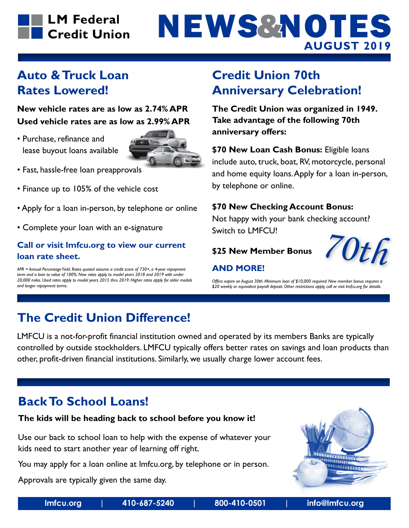# **LM Federal** Credit Union

# **AUGUST 2019** NEWS & NOTES

### **Auto & Truck Loan Rates Lowered!**

**New vehicle rates are as low as 2.74% APR Used vehicle rates are as low as 2.99% APR**

• Purchase, refinance and lease buyout loans available



- Fast, hassle-free loan preapprovals
- Finance up to 105% of the vehicle cost
- Apply for a loan in-person, by telephone or online
- Complete your loan with an e-signature

### **Call or visit lmfcu.org to view our current loan rate sheet.**

*APR = Annual Percentage Yield. Rates quoted assume a credit score of 730+, a 4-year repayment term and a loan to value of 100%. New rates apply to model years 2018 and 2019 with under 20,000 miles. Used rates apply to model years 2015 thru 2019. Higher rates apply for older models and longer repayment terms.*

### **Credit Union 70th Anniversary Celebration!**

**The Credit Union was organized in 1949. Take advantage of the following 70th anniversary offers:**

**\$70 New Loan Cash Bonus:** Eligible loans include auto, truck, boat, RV, motorcycle, personal and home equity loans. Apply for a loan in-person, by telephone or online.

#### **\$70 New Checking Account Bonus:**

Not happy with your bank checking account? Switch to LMFCU!

**\$25 New Member Bonus**

### **AND MORE!**

*Offers expire on August 30th. Minimum loan of \$10,000 required. New member bonus requires a \$20 weekly or equivalent payroll deposit. Other restrictions apply, call or visit lmfcu.org for details.*

### **The Credit Union Difference!**

LMFCU is a not-for-profit financial institution owned and operated by its members Banks are typically controlled by outside stockholders. LMFCU typically offers better rates on savings and loan products than other, profit-driven financial institutions. Similarly, we usually charge lower account fees.

### **Back To School Loans!**

### **The kids will be heading back to school before you know it!**

Use our back to school loan to help with the expense of whatever your kids need to start another year of learning off right.

You may apply for a loan online at lmfcu.org, by telephone or in person.

Approvals are typically given the same day.



*70th*